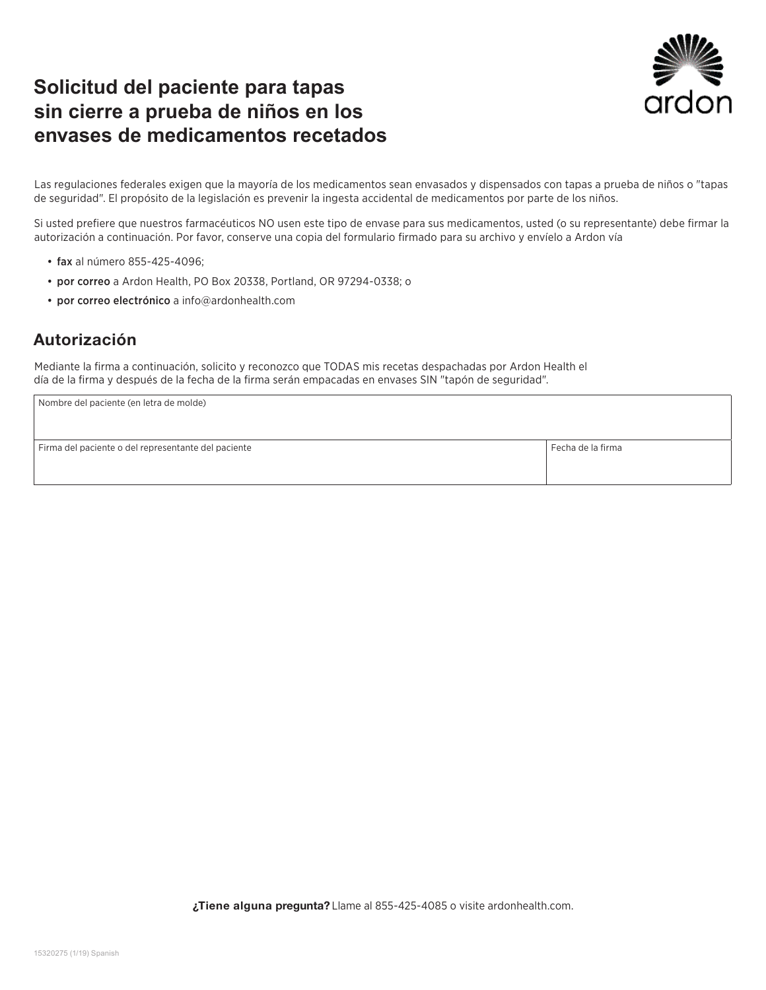## **Solicitud del paciente para tapas sin cierre a prueba de niños en los envases de medicamentos recetados**



Las regulaciones federales exigen que la mayoría de los medicamentos sean envasados y dispensados con tapas a prueba de niños o "tapas de seguridad". El propósito de la legislación es prevenir la ingesta accidental de medicamentos por parte de los niños.

Si usted prefiere que nuestros farmacéuticos NO usen este tipo de envase para sus medicamentos, usted (o su representante) debe firmar la autorización a continuación. Por favor, conserve una copia del formulario firmado para su archivo y envíelo a Ardon vía

- fax al número 855-425-4096;
- por correo a Ardon Health, PO Box 20338, Portland, OR 97294-0338; o
- por correo electrónico a info@ardonhealth.com

#### Autorización

Mediante la firma a continuación, solicito y reconozco que TODAS mis recetas despachadas por Ardon Health el día de la firma y después de la fecha de la firma serán empacadas en envases SIN "tapón de seguridad".

| Nombre del paciente (en letra de molde)             |                   |
|-----------------------------------------------------|-------------------|
|                                                     |                   |
|                                                     |                   |
| Firma del paciente o del representante del paciente | Fecha de la firma |
|                                                     |                   |
|                                                     |                   |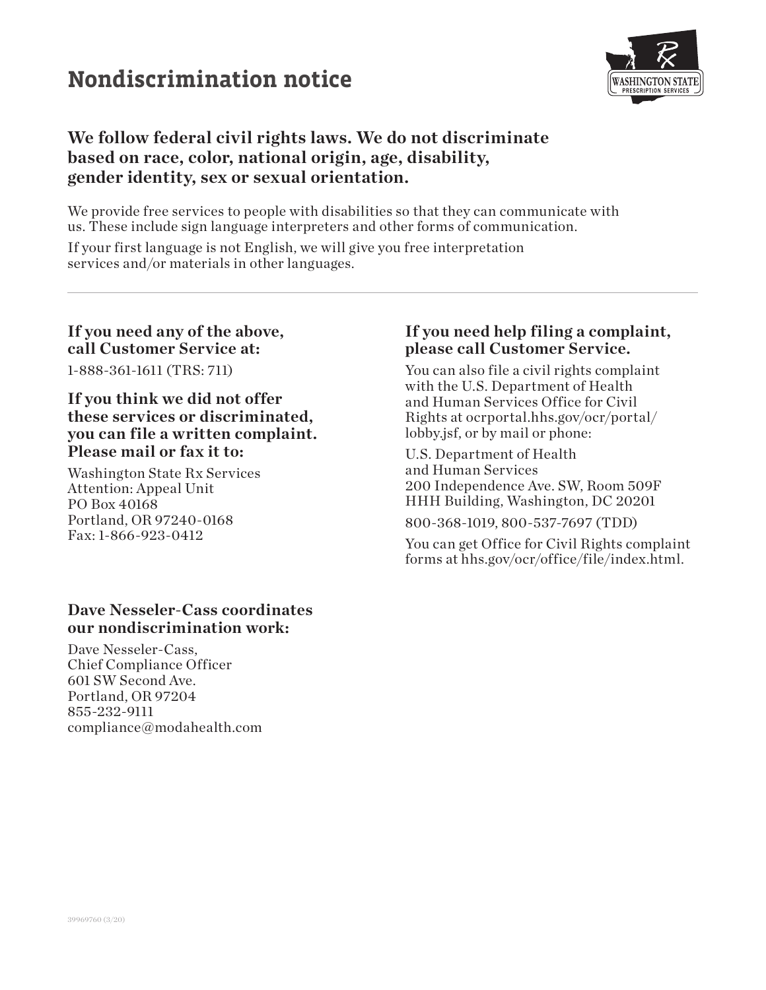# **Nondiscrimination notice**



### **We follow federal civil rights laws. We do not discriminate based on race, color, national origin, age, disability, gender identity, sex or sexual orientation.**

We provide free services to people with disabilities so that they can communicate with us. These include sign language interpreters and other forms of communication.

If your first language is not English, we will give you free interpretation services and/or materials in other languages.

#### **If you need any of the above, call Customer Service at:**

1-888-361-1611 (TRS: 711)

#### **If you think we did not offer these services or discriminated, you can file a written complaint. Please mail or fax it to:**

Washington State Rx Services Attention: Appeal Unit PO Box 40168 Portland, OR 97240-0168 Fax: 1-866-923-0412

#### **Dave Nesseler-Cass coordinates our nondiscrimination work:**

Dave Nesseler-Cass, Chief Compliance Officer 601 SW Second Ave. Portland, OR 97204 855-232-9111 compliance@modahealth.com

#### **If you need help filing a complaint, please call Customer Service.**

You can also file a civil rights complaint with the U.S. Department of Health and Human Services Office for Civil Rights at ocrportal.hhs.gov/ocr/portal/ lobby.jsf, or by mail or phone:

U.S. Department of Health and Human Services 200 Independence Ave. SW, Room 509F HHH Building, Washington, DC 20201

800-368-1019, 800-537-7697 (TDD)

You can get Office for Civil Rights complaint forms at hhs.gov/ocr/office/file/index.html.